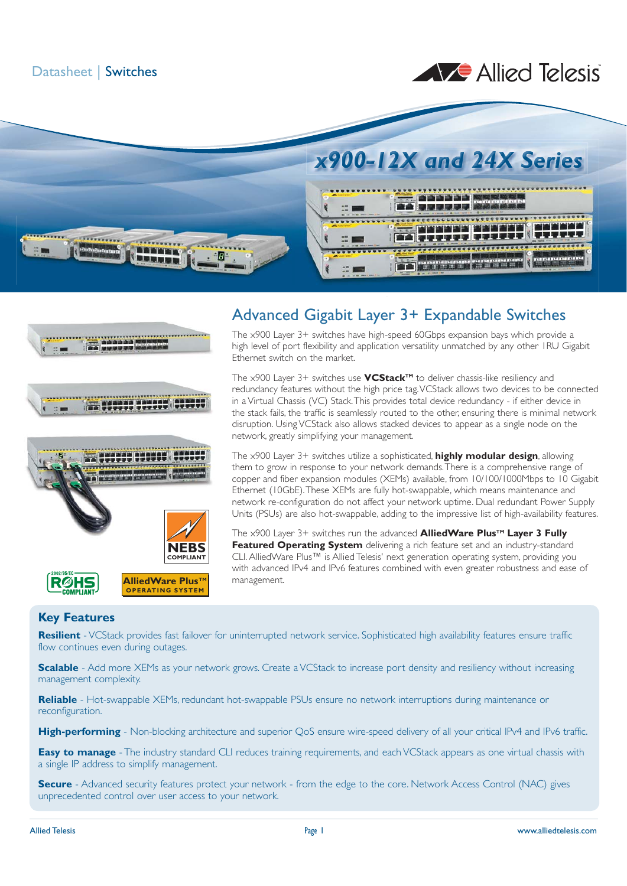Datasheet | Switches

# Allied Telesis





# Advanced Gigabit Layer 3+ Expandable Switches

The x900 Layer 3+ switches have high-speed 60Gbps expansion bays which provide a high level of port flexibility and application versatility unmatched by any other 1RU Gigabit Ethernet switch on the market.

The x900 Layer 3+ switches use **VCStackTM** to deliver chassis-like resiliency and redundancy features without the high price tag. VCStack allows two devices to be connected in a Virtual Chassis (VC) Stack. This provides total device redundancy - if either device in the stack fails, the traffic is seamlessly routed to the other, ensuring there is minimal network disruption. Using VCStack also allows stacked devices to appear as a single node on the network, greatly simplifying your management.

The x900 Layer 3+ switches utilize a sophisticated, **highly modular design**, allowing them to grow in response to your network demands. There is a comprehensive range of copper and fiber expansion modules (XEMs) available, from 10/100/1000Mbps to 10 Gigabit Ethernet (10GbE). These XEMs are fully hot-swappable, which means maintenance and network re-configuration do not affect your network uptime. Dual redundant Power Supply Units (PSUs) are also hot-swappable, adding to the impressive list of high-availability features.

The x900 Layer 3+ switches run the advanced **AlliedWare Plus<sup>TM</sup> Layer 3 Fully Featured Operating System** delivering a rich feature set and an industry-standard CLI. AlliedWare Plus™ is Allied Telesis' next generation operating system, providing you with advanced IPv4 and IPv6 features combined with even greater robustness and ease of management.

### **Key Features**

**Resilient** - VCStack provides fast failover for uninterrupted network service. Sophisticated high availability features ensure traffic flow continues even during outages.

**Scalable** - Add more XEMs as your network grows. Create a VCStack to increase port density and resiliency without increasing management complexity.

**Reliable** - Hot-swappable XEMs, redundant hot-swappable PSUs ensure no network interruptions during maintenance or reconfiguration.

**High-performing** - Non-blocking architecture and superior OoS ensure wire-speed delivery of all your critical IPv4 and IPv6 traffic.

**Easy to manage** - The industry standard CLI reduces training requirements, and each VCStack appears as one virtual chassis with a single IP address to simplify management.

**Secure** - Advanced security features protect your network - from the edge to the core. Network Access Control (NAC) gives unprecedented control over user access to your network.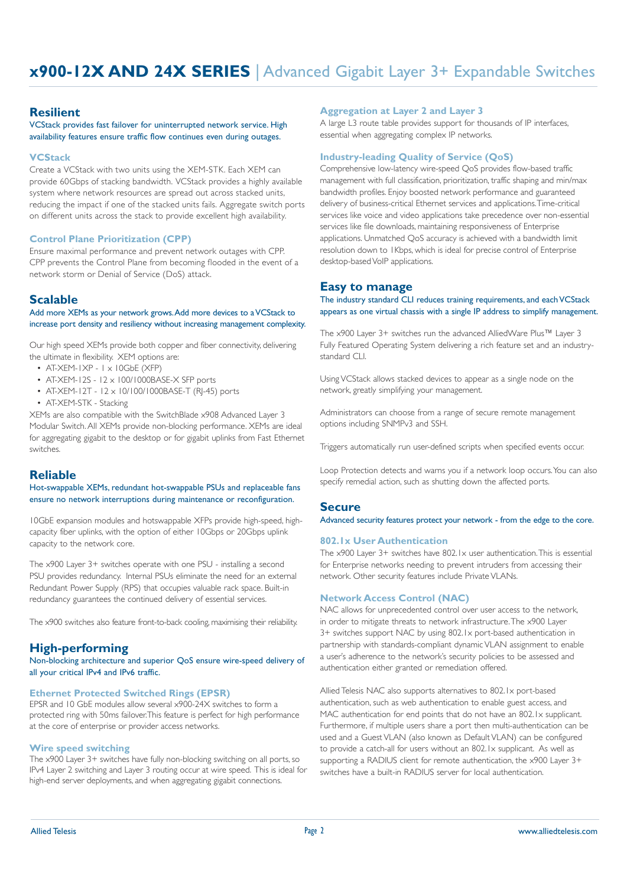#### **Resilient**

VCStack provides fast failover for uninterrupted network service. High availability features ensure traffic flow continues even during outages.

#### **VCStack**

Create a VCStack with two units using the XEM-STK. Each XEM can provide 60Gbps of stacking bandwidth. VCStack provides a highly available system where network resources are spread out across stacked units, reducing the impact if one of the stacked units fails. Aggregate switch ports on different units across the stack to provide excellent high availability.

#### **Control Plane Prioritization (CPP)**

Ensure maximal performance and prevent network outages with CPP. CPP prevents the Control Plane from becoming flooded in the event of a network storm or Denial of Service (DoS) attack.

### **Scalable**

#### Add more XEMs as your network grows. Add more devices to a VCStack to increase port density and resiliency without increasing management complexity.

Our high speed XEMs provide both copper and fiber connectivity, delivering the ultimate in flexibility. XEM options are:

- $\bullet$  AT-XEM-IXP I  $\times$  IOGbE (XFP)
- AT-XEM-12S 12 x 100/1000BASE-X SFP ports
- AT-XEM-12T 12 x 10/100/1000BASE-T (RJ-45) ports
- AT-XEM-STK Stacking

XEMs are also compatible with the SwitchBlade x908 Advanced Layer 3 Modular Switch. All XEMs provide non-blocking performance. XEMs are ideal for aggregating gigabit to the desktop or for gigabit uplinks from Fast Ethernet switches.

### **Reliable**

Hot-swappable XEMs, redundant hot-swappable PSUs and replaceable fans ensure no network interruptions during maintenance or reconfiguration.

10GbE expansion modules and hotswappable XFPs provide high-speed, highcapacity fiber uplinks, with the option of either 10Gbps or 20Gbps uplink capacity to the network core.

The x900 Layer 3+ switches operate with one PSU - installing a second PSU provides redundancy. Internal PSUs eliminate the need for an external Redundant Power Supply (RPS) that occupies valuable rack space. Built-in redundancy guarantees the continued delivery of essential services.

The x900 switches also feature front-to-back cooling, maximising their reliability.

#### **High-performing**

Non-blocking architecture and superior QoS ensure wire-speed delivery of all your critical IPv4 and IPv6 traffic.

#### **Ethernet Protected Switched Rings (EPSR)**

EPSR and 10 GbE modules allow several x900-24X switches to form a protected ring with 50ms failover.This feature is perfect for high performance at the core of enterprise or provider access networks.

#### **Wire speed switching**

The x900 Layer 3+ switches have fully non-blocking switching on all ports, so IPv4 Layer 2 switching and Layer 3 routing occur at wire speed. This is ideal for high-end server deployments, and when aggregating gigabit connections.

#### **Aggregation at Layer 2 and Layer 3**

A large L3 route table provides support for thousands of IP interfaces, essential when aggregating complex IP networks.

#### **Industry-leading Quality of Service (QoS)**

Comprehensive low-latency wire-speed QoS provides flow-based traffic management with full classification, prioritization, traffic shaping and min/max bandwidth profiles. Enjoy boosted network performance and guaranteed delivery of business-critical Ethernet services and applications. Time-critical services like voice and video applications take precedence over non-essential services like file downloads, maintaining responsiveness of Enterprise applications. Unmatched QoS accuracy is achieved with a bandwidth limit resolution down to 1Kbps, which is ideal for precise control of Enterprise desktop-based VoIP applications.

#### **Easy to manage**

The industry standard CLI reduces training requirements, and each VCStack appears as one virtual chassis with a single IP address to simplify management.

The x900 Layer 3+ switches run the advanced AlliedWare Plus™ Layer 3 Fully Featured Operating System delivering a rich feature set and an industrystandard CLI.

Using VCStack allows stacked devices to appear as a single node on the network, greatly simplifying your management.

Administrators can choose from a range of secure remote management options including SNMPv3 and SSH.

Triggers automatically run user-defined scripts when specified events occur.

Loop Protection detects and warns you if a network loop occurs. You can also specify remedial action, such as shutting down the affected ports.

#### **Secure**

Advanced security features protect your network - from the edge to the core.

#### **802.1x User Authentication**

The x900 Layer 3+ switches have 802.1x user authentication. This is essential for Enterprise networks needing to prevent intruders from accessing their network. Other security features include Private VLANs.

#### **Network Access Control (NAC)**

NAC allows for unprecedented control over user access to the network, in order to mitigate threats to network infrastructure. The x900 Layer 3+ switches support NAC by using 802.1x port-based authentication in partnership with standards-compliant dynamic VLAN assignment to enable a user's adherence to the network's security policies to be assessed and authentication either granted or remediation offered.

Allied Telesis NAC also supports alternatives to 802.1x port-based authentication, such as web authentication to enable guest access, and MAC authentication for end points that do not have an 802.1x supplicant. Furthermore, if multiple users share a port then multi-authentication can be used and a Guest VLAN (also known as Default VLAN) can be configured to provide a catch-all for users without an 802.1x supplicant. As well as supporting a RADIUS client for remote authentication, the x900 Layer 3+ switches have a built-in RADIUS server for local authentication.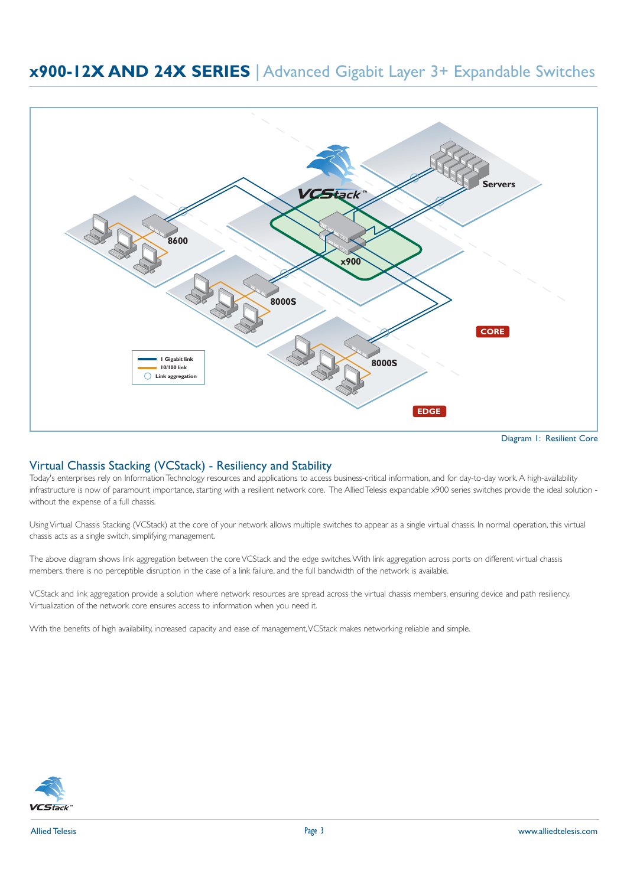

Diagram 1: Resilient Core

### Virtual Chassis Stacking (VCStack) - Resiliency and Stability

Today's enterprises rely on Information Technology resources and applications to access business-critical information, and for day-to-day work. A high-availability infrastructure is now of paramount importance, starting with a resilient network core. The Allied Telesis expandable x900 series switches provide the ideal solution without the expense of a full chassis.

Using Virtual Chassis Stacking (VCStack) at the core of your network allows multiple switches to appear as a single virtual chassis. In normal operation, this virtual chassis acts as a single switch, simplifying management.

The above diagram shows link aggregation between the core VCStack and the edge switches. With link aggregation across ports on different virtual chassis members, there is no perceptible disruption in the case of a link failure, and the full bandwidth of the network is available.

VCStack and link aggregation provide a solution where network resources are spread across the virtual chassis members, ensuring device and path resiliency. Virtualization of the network core ensures access to information when you need it.

With the benefits of high availability, increased capacity and ease of management, VCStack makes networking reliable and simple.

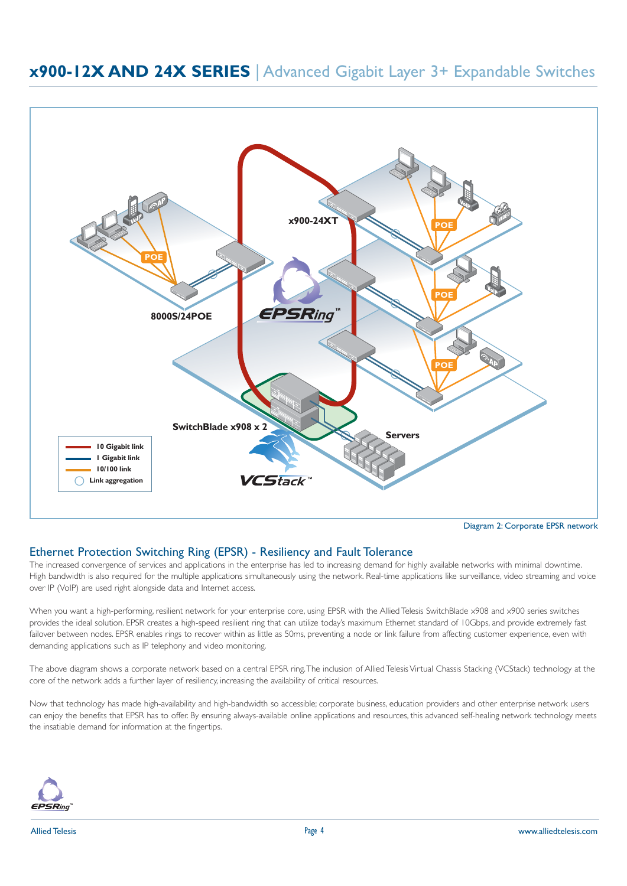

### Ethernet Protection Switching Ring (EPSR) - Resiliency and Fault Tolerance

The increased convergence of services and applications in the enterprise has led to increasing demand for highly available networks with minimal downtime. High bandwidth is also required for the multiple applications simultaneously using the network. Real-time applications like surveillance, video streaming and voice over IP (VoIP) are used right alongside data and Internet access.

When you want a high-performing, resilient network for your enterprise core, using EPSR with the Allied Telesis SwitchBlade x908 and x900 series switches provides the ideal solution. EPSR creates a high-speed resilient ring that can utilize today's maximum Ethernet standard of 10Gbps, and provide extremely fast failover between nodes. EPSR enables rings to recover within as little as 50ms, preventing a node or link failure from affecting customer experience, even with demanding applications such as IP telephony and video monitoring.

The above diagram shows a corporate network based on a central EPSR ring. The inclusion of Allied Telesis Virtual Chassis Stacking (VCStack) technology at the core of the network adds a further layer of resiliency, increasing the availability of critical resources.

Now that technology has made high-availability and high-bandwidth so accessible; corporate business, education providers and other enterprise network users can enjoy the benefits that EPSR has to offer. By ensuring always-available online applications and resources, this advanced self-healing network technology meets the insatiable demand for information at the fingertips.

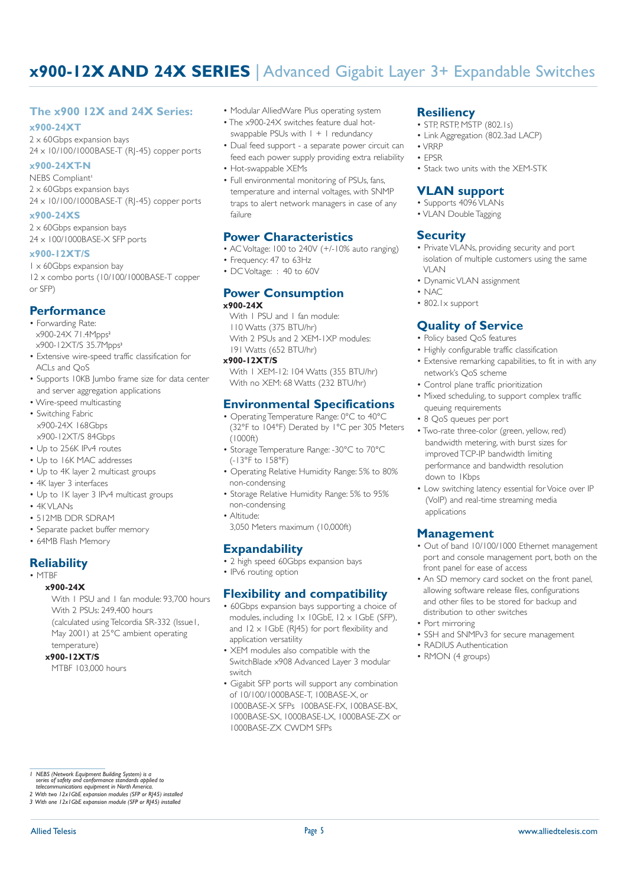### **The x900 12X and 24X Series:**

#### **x900-24XT**

2 x 60Gbps expansion bays 24 x 10/100/1000BASE-T (RJ-45) copper ports

#### **x900-24XT-N**

NEBS Compliant<sup>1</sup> 2 x 60Gbps expansion bays 24 x 10/100/1000BASE-T (RJ-45) copper ports

#### **x900-24XS**

2 x 60Gbps expansion bays 24 x 100/1000BASE-X SFP ports

#### **x900-12XT/S**

1 x 60Gbps expansion bay 12 x combo ports (10/100/1000BASE-T copper or SFP)

### **Performance**

- Forwarding Rate: x900-24X 71.4Mpps<sup>2</sup> x900-12XT/S 35.7Mpps<sup>3</sup>
- Extensive wire-speed traffic classification for ACLs and QoS
- Supports 10KB lumbo frame size for data center and server aggregation applications
- Wire-speed multicasting • Switching Fabric x900-24X 168Gbps x900-12XT/S 84Gbps
- Up to 256K IPv4 routes
- Up to 16K MAC addresses
- Up to 4K layer 2 multicast groups
- 4K layer 3 interfaces
- Up to 1K layer 3 IPv4 multicast groups
- $\bullet$  4K VI AN<sub>Is</sub>
- 512MB DDR SDRAM
- Separate packet buffer memory
- 64MB Flash Memory

### **Reliability**

### • MTBF

**x900-24X** With I PSU and I fan module: 93,700 hours With 2 PSUs: 249,400 hours (calculated using Telcordia SR-332 (Issue1, May 2001) at 25°C ambient operating

 temperature) **x900-12XT/S**

MTBF 103,000 hours

- Modular AlliedWare Plus operating system
	- The x900-24X switches feature dual hot-
	- swappable PSUs with  $1 + 1$  redundancy
	- Dual feed support a separate power circuit can feed each power supply providing extra reliability • Hot-swappable XEMs
	-
	- Full environmental monitoring of PSUs, fans, temperature and internal voltages, with SNMP traps to alert network managers in case of any failure

### **Power Characteristics**

- AC Voltage: 100 to 240V (+/-10% auto ranging)
- Frequency: 47 to 63Hz
- DC Voltage: : 40 to 60V

#### **Power Consumption x900-24X**

With I PSU and I fan module: 110 Watts (375 BTU/hr) With 2 PSUs and 2 XEM-1XP modules: 191 Watts (652 BTU/hr)

#### **x900-12XT/S**

 With 1 XEM-12: 104 Watts (355 BTU/hr) With no XEM: 68 Watts (232 BTU/hr)

### **Environmental Specifications**

- Operating Temperature Range: 0°C to 40°C (32°F to 104°F) Derated by 1°C per 305 Meters (1000ft)
- Storage Temperature Range: -30°C to 70°C (-13°F to 158°F)
- Operating Relative Humidity Range: 5% to 80% non-condensing
- Storage Relative Humidity Range: 5% to 95% non-condensing
- Altitude: 3,050 Meters maximum (10,000ft)

### **Expandability**

- 2 high speed 60Gbps expansion bays
- IPv6 routing option

### **Flexibility and compatibility**

- 60Gbps expansion bays supporting a choice of modules, including 1x 10GbE, 12 x 1GbE (SFP), and  $12 \times$  IGbE (R|45) for port flexibility and application versatility
- XEM modules also compatible with the SwitchBlade x908 Advanced Layer 3 modular switch
- Gigabit SFP ports will support any combination of 10/100/1000BASE-T, 100BASE-X, or 1000BASE-X SFPs 100BASE-FX, 100BASE-BX, 1000BASE-SX, 1000BASE-LX, 1000BASE-ZX or 1000BASE-ZX CWDM SFPs

### **Resiliency**

- STP, RSTP, MSTP (802.1s)
- Link Aggregation (802.3ad LACP)
- VRRP
- EPSR
- Stack two units with the XEM-STK

### **VLAN support**

- Supports 4096 VLANs
- VLAN Double Tagging

### **Security**

- Private VLANs, providing security and port isolation of multiple customers using the same VI AN
- Dynamic VLAN assignment
- NAC
	- 802.1x support

### **Quality of Service**

- Policy based QoS features
- Highly configurable traffic classification
- Extensive remarking capabilities, to fit in with any network's QoS scheme
- Control plane traffic prioritization
- Mixed scheduling, to support complex traffic queuing requirements
- 8 QoS queues per port
- Two-rate three-color (green, yellow, red) bandwidth metering, with burst sizes for improved TCP-IP bandwidth limiting performance and bandwidth resolution down to 1Kbps
- Low switching latency essential for Voice over IP (VoIP) and real-time streaming media applications

### **Management**

- Out of band 10/100/1000 Ethernet management port and console management port, both on the front panel for ease of access
- An SD memory card socket on the front panel, allowing software release files, configurations and other files to be stored for backup and distribution to other switches
- Port mirroring
- SSH and SNMPv3 for secure management
- RADIUS Authentication
- RMON (4 groups)

*<sup>1</sup> NEBS (Network Equipment Building System) is a series of safety and conformance standards applied to telecommunications equipment in North America.*

*<sup>2</sup> With two 12x1GbE expansion modules (SFP or RJ45) installed 3 With one 12x1GbE expansion module (SFP or RJ45) installed*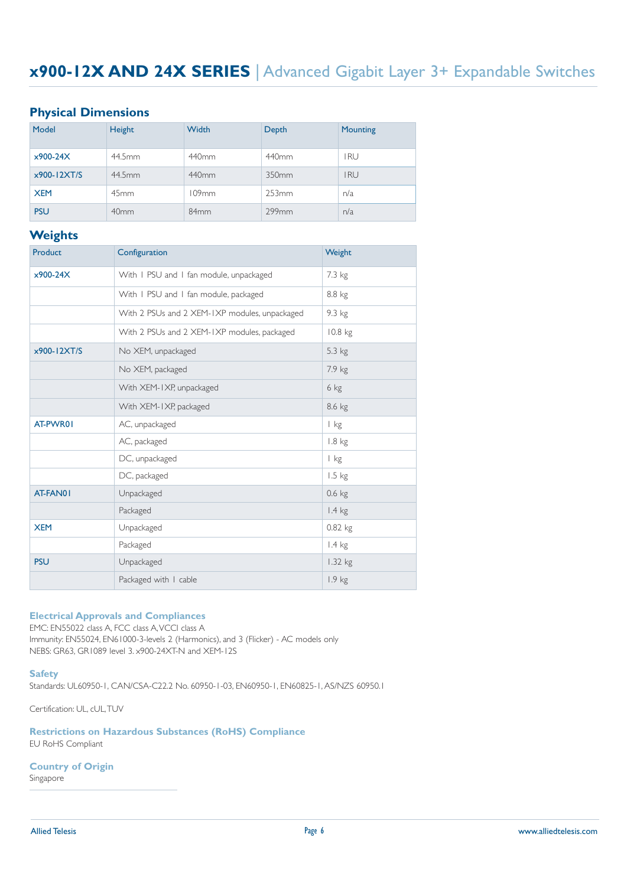### **Physical Dimensions**

| Model           | Height           | Width            | Depth | Mounting   |
|-----------------|------------------|------------------|-------|------------|
| $x900-24X$      | 44.5mm           | 440mm            | 440mm | <b>IRU</b> |
| $x900 - 12XT/S$ | 44.5mm           | 440mm            | 350mm | <b>IRU</b> |
| <b>XEM</b>      | 45 <sub>mm</sub> | 109mm            | 253mm | n/a        |
| <b>PSU</b>      | 40 <sub>mm</sub> | 84 <sub>mm</sub> | 299mm | n/a        |

#### **Weights**

| <b>Product</b> | Configuration                                                     | Weight            |
|----------------|-------------------------------------------------------------------|-------------------|
| $x900-24X$     | With I PSU and I fan module, unpackaged                           | 7.3 kg            |
|                | With I PSU and I fan module, packaged                             | 8.8 kg            |
|                | With 2 PSUs and 2 XEM-IXP modules, unpackaged<br>$9.3 \text{ kg}$ |                   |
|                | With 2 PSUs and 2 XEM-IXP modules, packaged                       | $10.8$ kg         |
| x900-12XT/S    | No XEM, unpackaged                                                | 5.3 kg            |
|                | No XEM, packaged                                                  | 7.9 kg            |
|                | With XEM-IXP, unpackaged                                          | 6 kg              |
|                | With XEM-IXP, packaged                                            | 8.6 kg            |
| AT-PWR01       | AC, unpackaged                                                    | I kg              |
|                | AC, packaged                                                      | $1.8$ kg          |
|                | DC, unpackaged                                                    | I kg              |
|                | DC, packaged                                                      | $1.5 \text{ kg}$  |
| AT-FAN01       | Unpackaged                                                        | $0.6$ kg          |
|                | Packaged                                                          | $1.4 \text{ kg}$  |
| <b>XEM</b>     | Unpackaged                                                        | 0.82 kg           |
|                | Packaged                                                          | $1.4 \text{ kg}$  |
| <b>PSU</b>     | Unpackaged                                                        | 1.32 kg           |
|                | Packaged with I cable                                             | 1.9 <sub>kg</sub> |

### **Electrical Approvals and Compliances**

EMC: EN55022 class A, FCC class A, VCCI class A Immunity: EN55024, EN61000-3-levels 2 (Harmonics), and 3 (Flicker) - AC models only NEBS: GR63, GR1089 level 3. x900-24XT-N and XEM-12S

#### **Safety**

Standards: UL60950-1, CAN/CSA-C22.2 No. 60950-1-03, EN60950-1, EN60825-1, AS/NZS 60950.1

Certification: UL, cUL, TUV

**Restrictions on Hazardous Substances (RoHS) Compliance** EU RoHS Compliant

#### **Country of Origin**

Singapore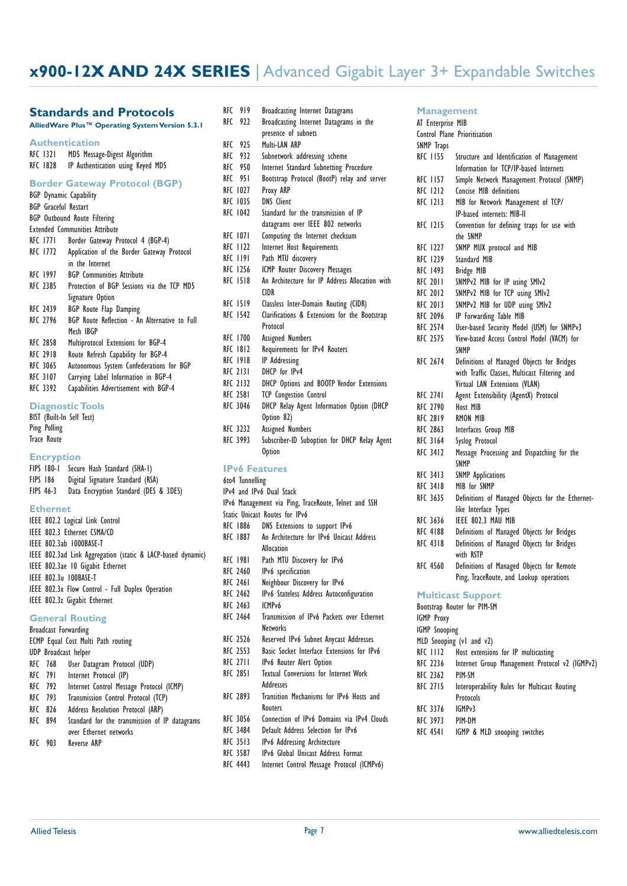#### **Standards and Protocols**

**AlliedWare Plus™ Operating System Version 5.3.1**

| <b>Authentication</b>         |                                              |
|-------------------------------|----------------------------------------------|
| RFC 1321                      | MD5 Message-Digest Algorithm                 |
| RFC 1828                      | IP Authentication using Keyed MD5            |
|                               | <b>Border Gateway Protocol (BGP)</b>         |
| <b>BGP</b> Dynamic Capability |                                              |
| <b>BGP</b> Graceful Restart   |                                              |
|                               | <b>BGP</b> Outbound Route Filtering          |
|                               | <b>Extended Communities Attribute</b>        |
| RFC 1771                      | Border Gateway Protocol 4 (BGP-4)            |
| RFC 1772                      | Application of the Border Gateway Protocol   |
|                               | in the Internet                              |
| RFC 1997                      | <b>BGP</b> Communities Attribute             |
| RFC 2385                      | Protection of BGP Sessions via the TCP MD5   |
|                               | Signature Option                             |
| <b>RFC 2439</b>               | <b>BGP</b> Route Flap Damping                |
| RFC 2796                      | BGP Route Reflection - An Alternative to Ful |
|                               | Mesh IBGP                                    |
| <b>RFC 2858</b>               | Multiprotocol Extensions for BGP-4           |
| <b>RFC 2918</b>               | Route Refresh Capability for BGP-4           |
| <b>RFC 3065</b>               | Autonomous System Confederations for BGP     |
| <b>RFC 3107</b>               | Carrying Label Information in BGP-4          |
| RFC 3392                      | Capabilities Advertisement with BGP-4        |
|                               |                                              |
|                               | <b>Diagnostic Tools</b>                      |
| BIST (Built-In Self Test)     |                                              |

to Full

#### Ping Polling Trace Route

#### **Encryption**

|                  | <b>FIPS 180-1</b> | Secure Hash Standard (SHA-1)          |
|------------------|-------------------|---------------------------------------|
| FIPS 186         |                   | Digital Signature Standard (RSA)      |
| <b>FIPS 46-3</b> |                   | Data Encryption Standard (DES & 3DES) |

#### **Ethernet**

| IEEE 802.2 Logical Link Control                             |
|-------------------------------------------------------------|
| IEEE 802.3 Ethernet CSMA/CD                                 |
| IEEE 802.3ab 1000BASE-T                                     |
| IEEE 802.3ad Link Aggregation (static & LACP-based dynamic) |
| IEEE 802.3ae 10 Gigabit Ethernet                            |
| IEEE 802.3u IOOBASE-T                                       |
| IEEE 802.3x Flow Control - Full Duplex Operation            |
| IEEE 802.3z Gigabit Ethernet                                |

#### **General Routing**

| Broadcast Forwarding |                                    |                                               |  |  |
|----------------------|------------------------------------|-----------------------------------------------|--|--|
|                      | ECMP Equal Cost Multi Path routing |                                               |  |  |
|                      |                                    | UDP Broadcast helper                          |  |  |
|                      | RFC 768                            | User Datagram Protocol (UDP)                  |  |  |
|                      | RFC 791                            | Internet Protocol (IP)                        |  |  |
|                      | RFC 792                            | Internet Control Message Protocol (ICMP)      |  |  |
|                      | RFC 793                            | Transmission Control Protocol (TCP)           |  |  |
|                      | RFC 826                            | Address Resolution Protocol (ARP)             |  |  |
|                      | <b>RFC 894</b>                     | Standard for the transmission of IP datagrams |  |  |
|                      |                                    | over Ethernet networks                        |  |  |
| RFC                  | 903                                | Reverse ARP                                   |  |  |

| RFC | 919             | <b>Broadcasting Internet Datagrams</b>                 |
|-----|-----------------|--------------------------------------------------------|
| RFC | 922             | Broadcasting Internet Datagrams in the                 |
|     |                 | presence of subnets                                    |
| RFC | 925             | Multi-LAN ARP                                          |
| RFC | 932             | Subnetwork addressing scheme                           |
|     | RFC 950         | Internet Standard Subnetting Procedure                 |
| RFC | 951             | Bootstrap Protocol (BootP) relay and server            |
|     | <b>RFC 1027</b> | Proxy ARP                                              |
|     | RFC 1035        | <b>DNS Client</b>                                      |
|     | <b>RFC 1042</b> | Standard for the transmission of IP                    |
|     |                 | datagrams over IEEE 802 networks                       |
|     | RFC 1071        | Computing the Internet checksum                        |
|     | RFC 1122        | Internet Host Requirements                             |
|     | RFC 1191        | Path MTU discovery                                     |
|     | RFC 1256        | ICMP Router Discovery Messages                         |
|     | <b>RFC 1518</b> | An Architecture for IP Address Allocation with<br>CIDR |
|     | RFC 1519        | Classless Inter-Domain Routing (CIDR)                  |
|     | <b>RFC 1542</b> | Clarifications & Extensions for the Bootstrap          |
|     |                 | Protocol                                               |
|     | RFC 1700        | Assigned Numbers                                       |
|     | <b>RFC 1812</b> | Requirements for IPv4 Routers                          |
|     | RFC 1918        | <b>IP</b> Addressing                                   |
|     | RFC 2131        | DHCP for IPv4                                          |
|     | <b>RFC 2132</b> | DHCP Options and BOOTP Vendor Extensions               |
|     | <b>RFC 2581</b> | <b>TCP Congestion Control</b>                          |
|     | RFC 3046        | DHCP Relay Agent Information Option (DHCP              |
|     |                 | Option 82)                                             |
|     | RFC 3232        | Assigned Numbers                                       |
|     | RFC 3993        | Subscriber-ID Suboption for DHCP Relay Agent           |
|     |                 | <b>Option</b>                                          |
|     |                 | <b>IPv6 Features</b>                                   |
|     | 6to4 Tunnelling |                                                        |
|     |                 | IPv4 and IPv6 Dual Stack                               |
|     |                 | IPv6 Management via Ping, TraceRoute, Telnet and SSH   |
|     |                 | Static Unicast Routes for IPv6                         |
|     | RFC 1886        | DNS Extensions to support IPv6                         |
|     | RFC 1887        | An Architecture for IPv6 Unicast Address               |
|     |                 | Allocation                                             |
|     | RFC 1981        | Path MTU Discovery for IPv6                            |
|     | <b>RFC 2460</b> | IPv6 specification                                     |
|     | <b>RFC 2461</b> | Neighbour Discovery for IPv6                           |
|     | RFC 2462        | IPv6 Stateless Address Autoconfiguration               |
|     | <b>RFC 2463</b> | ICMP <sub>v6</sub>                                     |
|     |                 | $\sim$ $\sim$ $\sim$                                   |

- RFC 2464 Transmission of IPv6 Packets over Ethernet Networks<br>RFC 2526 Reserved
- RFC 2526 Reserved IPv6 Subnet Anycast Addresses<br>RFC 2553 Basic Socket Interface Extensions for IP
- RFC 2553 Basic Socket Interface Extensions for IPv6<br>RFC 2711 IPv6 Router Alert Option
- IPv6 Router Alert Option
- RFC 2851 Textual Conversions for Internet Work
- Addresses<br>RFC 2893 Transition Transition Mechanisms for IPv6 Hosts and Routers
- RFC 3056 Connection of IPv6 Domains via IPv4 Clouds
- RFC 3484 Default Address Selection for IPv6
- RFC 3513 IPv6 Addressing Architecture
- RFC 3587 IPv6 Global Unicast Address Format
- RFC 4443 Internet Control Message Protocol (ICMPv6)

| <b>Management</b>    |                                                           |
|----------------------|-----------------------------------------------------------|
| AT Enterprise MIB    |                                                           |
|                      | Control Plane Prioritisation                              |
| <b>SNMP Traps</b>    |                                                           |
| <b>RFC 1155</b>      | Structure and Identification of Management                |
|                      | Information for TCP/IP-based Internets                    |
| <b>RFC 1157</b>      | Simple Network Management Protocol (SNMP)                 |
| <b>RFC 1212</b>      | Concise MIB definitions                                   |
| <b>RFC 1213</b>      | MIB for Network Management of TCP/                        |
|                      | IP-based internets: MIB-II                                |
| RFC 1215             | Convention for defining traps for use with                |
|                      | the SNMP                                                  |
| <b>RFC 1227</b>      | SNMP MUX protocol and MIB                                 |
| <b>RFC 1239</b>      | Standard MIB                                              |
| RFC 1493             | <b>Bridge MIB</b>                                         |
| <b>RFC 2011</b>      | SNMPv2 MIB for IP using SMIv2                             |
| <b>RFC 2012</b>      | SNMPv2 MIB for TCP using SMIv2                            |
| RFC 2013             | SNMPv2 MIB for UDP using SMIv2                            |
| RFC 2096             | IP Forwarding Table MIB                                   |
| RFC 2574             | User-based Security Model (USM) for SNMPv3                |
| <b>RFC 2575</b>      | View-based Access Control Model (VACM) for                |
|                      | <b>SNMP</b>                                               |
| <b>RFC 2674</b>      | Definitions of Managed Objects for Bridges                |
|                      | with Traffic Classes, Multicast Filtering and             |
|                      | Virtual LAN Extensions (VLAN)                             |
| <b>RFC 2741</b>      | Agent Extensibility (AgentX) Protocol                     |
| <b>RFC 2790</b>      | Host MIB                                                  |
| <b>RFC 2819</b>      | RMON MIB                                                  |
| RFC 2863             | Interfaces Group MIB                                      |
| RFC 3164             | Syslog Protocol                                           |
| <b>RFC 3412</b>      | Message Processing and Dispatching for the<br><b>SNMP</b> |
| <b>RFC 3413</b>      | <b>SNMP</b> Applications                                  |
| <b>RFC 3418</b>      | MIB for SNMP                                              |
| RFC 3635             | Definitions of Managed Objects for the Ethernet-          |
|                      | like Interface Types                                      |
| RFC 3636             | IEEE 802.3 MAU MIB                                        |
| <b>RFC 4188</b>      | Definitions of Managed Objects for Bridges                |
| <b>RFC 4318</b>      | Definitions of Managed Objects for Bridges                |
|                      | with RSTP                                                 |
| <b>RFC 4560</b>      | Definitions of Managed Objects for Remote                 |
|                      | Ping, TraceRoute, and Lookup operations                   |
|                      | <b>Multicast Support</b>                                  |
|                      | Bootstrap Router for PIM-SM                               |
| <b>IGMP Proxy</b>    |                                                           |
| <b>IGMP</b> Snooping |                                                           |
|                      | MLD Snooping (v1 and v2)                                  |
|                      | RFC 1112 Host extensions for IP multicasting              |
|                      | RFC 2236 Internet Group Management Protocol v2 (IGMPv2)   |
| RFC 2362 PIM-SM      |                                                           |
| <b>DEC STIP</b>      |                                                           |

- RFC 2715 Interoperability Rules for Multicast Routing Protocols<br>IGMPv3
- RFC 3376
- RFC 3973 PIM-DM
- RFC 4541 IGMP & MLD snooping switches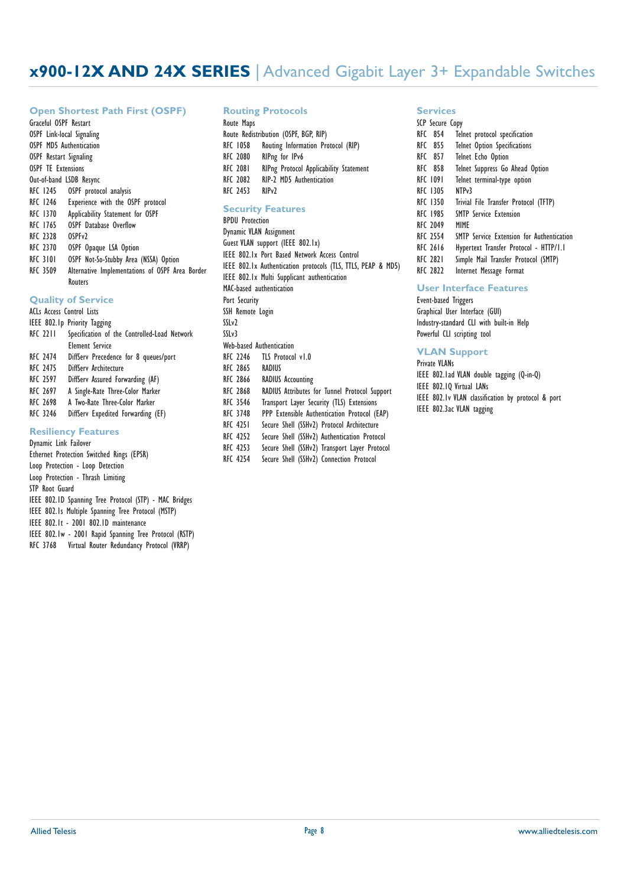#### **Open Shortest Path First (OSPF)**

Graceful OSPF Restart OSPF Link-local Signaling OSPF MD5 Authentication OSPF Restart Signaling OSPF TE Extensions Out-of-band LSDB Resync RFC 1245 OSPF protocol analysis RFC 1246 Experience with the OSPF protocol RFC 1370 Applicability Statement for OSPF<br>RFC 1765 OSPF Database Overflow OSPF Database Overflow RFC 2328 OSPFv2 RFC 2370 OSPF Opaque LSA Option RFC 3101 OSPF Not-So-Stubby Area (NSSA) Option RFC 3509 Alternative Implementations of OSPF Area Border Routers

## **Quality of Service**

|                 | <b>ACLs Access Control Lists</b>             |
|-----------------|----------------------------------------------|
|                 | IEEE 802.1p Priority Tagging                 |
| <b>RFC 2211</b> | Specification of the Controlled-Load Network |
|                 | <b>Element Service</b>                       |
| <b>RFC 2474</b> | DiffServ Precedence for 8 queues/port        |
| <b>RFC 2475</b> | DiffServ Architecture                        |
| <b>RFC 2597</b> | DiffServ Assured Forwarding (AF)             |
| <b>RFC 2697</b> | A Single-Rate Three-Color Marker             |
| <b>RFC 2698</b> | A Two-Rate Three-Color Marker                |
| <b>RFC 3246</b> | DiffServ Expedited Forwarding (EF)           |
|                 |                                              |

#### **Resiliency Features**

Dynamic Link Failover Ethernet Protection Switched Rings (EPSR) Loop Protection - Loop Detection Loop Protection - Thrash Limiting STP Root Guard IEEE 802.1D Spanning Tree Protocol (STP) - MAC Bridges IEEE 802.1s Multiple Spanning Tree Protocol (MSTP) IEEE 802.1t - 2001 802.1D maintenance IEEE 802.1w - 2001 Rapid Spanning Tree Protocol (RSTP) RFC 3768 Virtual Router Redundancy Protocol (VRRP)

#### **Routing Protocols**

| Route Maps      |                                               |
|-----------------|-----------------------------------------------|
|                 | Route Redistribution (OSPF, BGP, RIP)         |
| RFC 1058        | Routing Information Protocol (RIP)            |
| <b>RFC 2080</b> | RIPng for IPv6                                |
| <b>RFC 2081</b> | <b>RIPng Protocol Applicability Statement</b> |
| <b>RFC 2082</b> | RIP-2 MD5 Authentication                      |
| RFC 2453        | RIP <sub>v2</sub>                             |

### **Security Features**

| Security reatures                                               |
|-----------------------------------------------------------------|
| <b>BPDU Protection</b>                                          |
| Dynamic VLAN Assignment                                         |
| Guest VLAN support (IEEE 802.1x)                                |
| IEEE 802.1x Port Based Network Access Control                   |
| IEEE 802.1x Authentication protocols (TLS, TTLS, PEAP & MD5)    |
| IEEE 802.1x Multi Supplicant authentication                     |
| MAC-based authentication                                        |
| Port Security                                                   |
| SSH Remote Login                                                |
| SSLv2                                                           |
| SSLv3                                                           |
| Web-based Authentication                                        |
| RFC 2246 TLS Protocol v1.0                                      |
| RFC 2865 RADIUS                                                 |
| RFC 2866<br><b>RADIUS Accounting</b>                            |
| RFC 2868<br>RADIUS Attributes for Tunnel Protocol Support       |
| RFC 3546<br>Transport Layer Security (TLS) Extensions           |
| RFC 3748<br>PPP Extensible Authentication Protocol (EAP)        |
| RFC 4251<br>Secure Shell (SSHv2) Protocol Architecture          |
| Secure Shell (SSHy)) Authentication Protocol<br><b>RFC 4757</b> |

#### RFC 4252 Secure Shell (SSHv2) Authentication Protocol RFC 4253 Secure Shell (SSHv2) Transport Layer Protocol

RFC 4254 Secure Shell (SSHv2) Connection Protocol

#### **Services** SCP Secure Com

| <b>SCP Secure Lopy</b> |                                                  |
|------------------------|--------------------------------------------------|
| <b>RFC 854</b>         | Telnet protocol specification                    |
| <b>RFC 855</b>         | <b>Telnet Option Specifications</b>              |
| RFC 857                | <b>Telnet Echo Option</b>                        |
| <b>RFC 858</b>         | Telnet Suppress Go Ahead Option                  |
| <b>RFC 1091</b>        | Telnet terminal-type option                      |
| <b>RFC 1305</b>        | NTP <sub>v</sub> 3                               |
| <b>RFC 1350</b>        | Trivial File Transfer Protocol (TFTP)            |
| <b>RFC 1985</b>        | <b>SMTP Service Extension</b>                    |
| <b>RFC 2049</b>        | MIME                                             |
| <b>RFC 2554</b>        | <b>SMTP</b> Service Extension for Authentication |
| <b>RFC 2616</b>        | Hypertext Transfer Protocol - HTTP/1.1           |
| <b>RFC 2821</b>        | Simple Mail Transfer Protocol (SMTP)             |
|                        |                                                  |

#### RFC 2822 Internet Message Format

### **User Interface Features**

Event-based Triggers Graphical User Interface (GUI) Industry-standard CLI with built-in Help Powerful CLI scripting tool

### **VLAN Support**

Private VLANs IEEE 802.1ad VLAN double tagging (Q-in-Q) IEEE 802.1Q Virtual LANs IEEE 802.1v VLAN classification by protocol & port IEEE 802.3ac VLAN tagging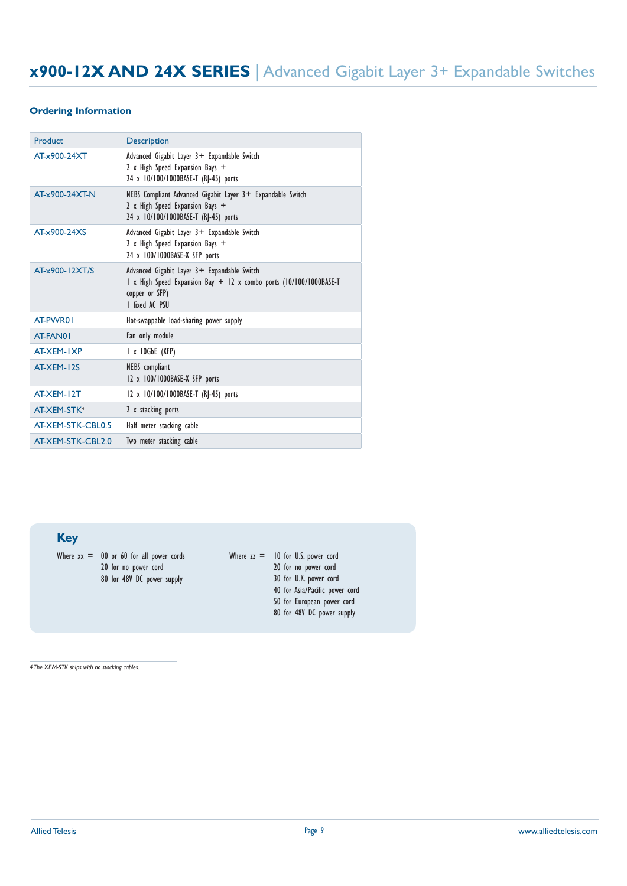#### **Ordering Information**

| Product                 | <b>Description</b>                                                                                                                                    |
|-------------------------|-------------------------------------------------------------------------------------------------------------------------------------------------------|
| AT-x900-24XT            | Advanced Gigabit Layer 3+ Expandable Switch<br>2 x High Speed Expansion Bays +<br>24 x 10/100/1000BASE-T (RJ-45) ports                                |
| AT-x900-24XT-N          | NEBS Compliant Advanced Gigabit Layer 3+ Expandable Switch<br>2 x High Speed Expansion Bays +<br>24 x 10/100/1000BASE-T (RJ-45) ports                 |
| AT-x900-24XS            | Advanced Gigabit Layer 3+ Expandable Switch<br>2 x High Speed Expansion Bays +<br>24 x 100/1000BASE-X SFP ports                                       |
| AT-x900-12XT/S          | Advanced Gigabit Layer 3+ Expandable Switch<br>1 x High Speed Expansion Bay + 12 x combo ports (10/100/1000BASE-T<br>copper or SFP)<br>I fixed AC PSU |
| AT-PWR01                | Hot-swappable load-sharing power supply                                                                                                               |
| AT-FAN01                | Fan only module                                                                                                                                       |
| AT-XEM-IXP              | I x 10GbE (XFP)                                                                                                                                       |
| AT-XFM-12S              | NEBS compliant<br>12 x 100/1000BASE-X SFP ports                                                                                                       |
| AT-XEM-12T              | 12 x 10/100/1000BASE-T (RJ-45) ports                                                                                                                  |
| AT-XEM-STK <sup>4</sup> | 2 x stacking ports                                                                                                                                    |
| AT-XEM-STK-CBL0.5       | Half meter stacking cable                                                                                                                             |
| AT-XEM-STK-CBL2.0       | Two meter stacking cable                                                                                                                              |

**Key**

Where  $xx = 00$  or 60 for all power cords 20 for no power cord 80 for 48V DC power supply

Where  $zz = 10$  for U.S. power cord 20 for no power cord 30 for U.K. power cord 40 for Asia/Pacific power cord 50 for European power cord 80 for 48V DC power supply

*4 The XEM-STK ships with no stacking cables.*